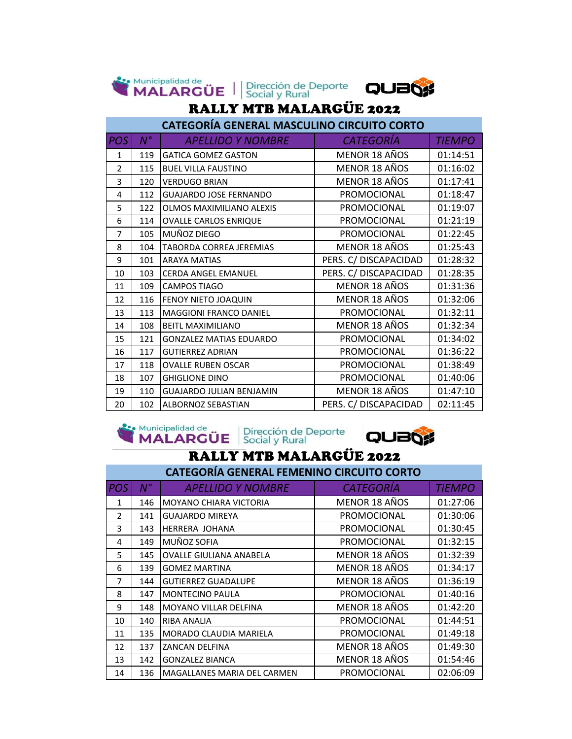|                | <b>Ste Municipalidad de</b><br>MALARGÜE <sup> </sup><br>Dirección de Deporte<br>Social y Rural<br>QUB |                                                   |                       |               |  |  |
|----------------|-------------------------------------------------------------------------------------------------------|---------------------------------------------------|-----------------------|---------------|--|--|
|                | <b>RALLY MTB MALARGÜE 2022</b>                                                                        |                                                   |                       |               |  |  |
|                |                                                                                                       | <b>CATEGORÍA GENERAL MASCULINO CIRCUITO CORTO</b> |                       |               |  |  |
| <b>POS</b>     | $N^{\circ}$                                                                                           | <b>APELLIDO Y NOMBRE</b>                          | <b>CATEGORÍA</b>      | <b>TIEMPO</b> |  |  |
| $\mathbf{1}$   | 119                                                                                                   | <b>GATICA GOMEZ GASTON</b>                        | MENOR 18 AÑOS         | 01:14:51      |  |  |
| $\overline{2}$ | 115                                                                                                   | <b>BUEL VILLA FAUSTINO</b>                        | MENOR 18 AÑOS         | 01:16:02      |  |  |
| 3              | 120                                                                                                   | <b>VERDUGO BRIAN</b>                              | MENOR 18 AÑOS         | 01:17:41      |  |  |
| 4              | 112                                                                                                   | <b>GUAJARDO JOSE FERNANDO</b>                     | PROMOCIONAL           | 01:18:47      |  |  |
| 5              | 122                                                                                                   | <b>OLMOS MAXIMILIANO ALEXIS</b>                   | PROMOCIONAL           | 01:19:07      |  |  |
| 6              | 114                                                                                                   | <b>OVALLE CARLOS ENRIQUE</b>                      | PROMOCIONAL           | 01:21:19      |  |  |
| 7              | 105                                                                                                   | MUÑOZ DIEGO                                       | PROMOCIONAL           | 01:22:45      |  |  |
| 8              | 104                                                                                                   | <b>TABORDA CORREA JEREMIAS</b>                    | <b>MENOR 18 AÑOS</b>  | 01:25:43      |  |  |
| 9              | 101                                                                                                   | <b>ARAYA MATIAS</b>                               | PERS. C/ DISCAPACIDAD | 01:28:32      |  |  |
| 10             | 103                                                                                                   | <b>CERDA ANGEL EMANUEL</b>                        | PERS. C/ DISCAPACIDAD | 01:28:35      |  |  |
| 11             | 109                                                                                                   | <b>CAMPOS TIAGO</b>                               | MENOR 18 AÑOS         | 01:31:36      |  |  |
| 12             | 116                                                                                                   | FENOY NIETO JOAQUIN                               | MENOR 18 AÑOS         | 01:32:06      |  |  |
| 13             | 113                                                                                                   | <b>MAGGIONI FRANCO DANIEL</b>                     | PROMOCIONAL           | 01:32:11      |  |  |
| 14             | 108                                                                                                   | <b>BEITL MAXIMILIANO</b>                          | MENOR 18 AÑOS         | 01:32:34      |  |  |
| 15             | 121                                                                                                   | <b>GONZALEZ MATIAS EDUARDO</b>                    | PROMOCIONAL           | 01:34:02      |  |  |
| 16             | 117                                                                                                   | <b>GUTIERREZ ADRIAN</b>                           | PROMOCIONAL           | 01:36:22      |  |  |
| 17             | 118                                                                                                   | <b>OVALLE RUBEN OSCAR</b>                         | PROMOCIONAL           | 01:38:49      |  |  |
| 18             | 107                                                                                                   | <b>GHIGLIONE DINO</b>                             | PROMOCIONAL           | 01:40:06      |  |  |
| 19             | 110                                                                                                   | <b>GUAJARDO JULIAN BENJAMIN</b>                   | MENOR 18 AÑOS         | 01:47:10      |  |  |
| 20             | 102                                                                                                   | <b>ALBORNOZ SEBASTIAN</b>                         | PERS. C/ DISCAPACIDAD | 02:11:45      |  |  |





# RALLY MTB MALARGÜE 2022

| <b>CATEGORÍA GENERAL FEMENINO CIRCUITO CORTO</b> |             |                                    |                    |               |  |
|--------------------------------------------------|-------------|------------------------------------|--------------------|---------------|--|
| <b>POS</b>                                       | $N^{\circ}$ | <b>APELLIDO Y NOMBRE</b>           | <b>CATEGORÍA</b>   | <b>TIEMPO</b> |  |
| 1                                                | 146         | <b>MOYANO CHIARA VICTORIA</b>      | MENOR 18 AÑOS      | 01:27:06      |  |
| 2                                                | 141         | GUAJARDO MIREYA                    | <b>PROMOCIONAL</b> | 01:30:06      |  |
| 3                                                | 143         | <b>HERRERA JOHANA</b>              | PROMOCIONAL        | 01:30:45      |  |
| 4                                                | 149         | MUÑOZ SOFIA                        | <b>PROMOCIONAL</b> | 01:32:15      |  |
| 5                                                | 145         | OVALLE GIULIANA ANABELA            | MENOR 18 AÑOS      | 01:32:39      |  |
| 6                                                | 139         | <b>GOMEZ MARTINA</b>               | MENOR 18 AÑOS      | 01:34:17      |  |
| $\overline{7}$                                   | 144         | GUTIERREZ GUADALUPE                | MENOR 18 AÑOS      | 01:36:19      |  |
| 8                                                | 147         | <b>MONTECINO PAULA</b>             | PROMOCIONAL        | 01:40:16      |  |
| 9                                                | 148         | MOYANO VILLAR DELFINA              | MENOR 18 AÑOS      | 01:42:20      |  |
| 10                                               | 140         | <b>RIBA ANALIA</b>                 | PROMOCIONAL        | 01:44:51      |  |
| 11                                               | 135         | <b>MORADO CLAUDIA MARIELA</b>      | PROMOCIONAL        | 01:49:18      |  |
| 12                                               | 137         | <b>ZANCAN DELFINA</b>              | MENOR 18 AÑOS      | 01:49:30      |  |
| 13                                               | 142         | GONZALEZ BIANCA                    | MENOR 18 AÑOS      | 01:54:46      |  |
| 14                                               | 136         | <b>MAGALLANES MARIA DEL CARMEN</b> | PROMOCIONAL        | 02:06:09      |  |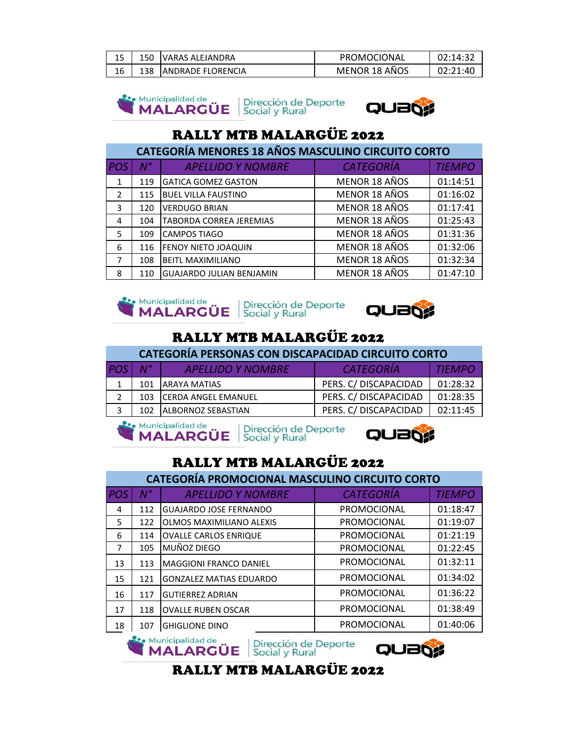|    | 150 | IVARAS ALEJANDRA   | PROMOCIONAL   | 72.14.32 |
|----|-----|--------------------|---------------|----------|
| 16 | 138 | IANDRADE FLORENCIA | MENOR 18 AÑOS | ۰4٢      |

**See Municipalidad de** Municipalidad de Universión de Deporte



## RALLY MTB MALARGÜE 2022

| <b>CATEGORÍA MENORES 18 AÑOS MASCULINO CIRCUITO CORTO</b> |             |                                 |                  |               |  |
|-----------------------------------------------------------|-------------|---------------------------------|------------------|---------------|--|
| POS                                                       | $N^{\circ}$ | <b>APELLIDO Y NOMBRE</b>        | <b>CATEGORÍA</b> | <b>TIEMPO</b> |  |
| $\mathbf{1}$                                              | 119         | <b>GATICA GOMEZ GASTON</b>      | MENOR 18 AÑOS    | 01:14:51      |  |
| 2                                                         | 115         | <b>BUEL VILLA FAUSTINO</b>      | MENOR 18 AÑOS    | 01:16:02      |  |
| 3                                                         | 120         | <b>VERDUGO BRIAN</b>            | MENOR 18 AÑOS    | 01:17:41      |  |
| 4                                                         | 104         | TABORDA CORREA JEREMIAS         | MENOR 18 AÑOS    | 01:25:43      |  |
| 5                                                         | 109         | <b>CAMPOS TIAGO</b>             | MENOR 18 AÑOS    | 01:31:36      |  |
| 6                                                         | 116         | <b>FENOY NIETO JOAQUIN</b>      | MENOR 18 AÑOS    | 01:32:06      |  |
| 7                                                         | 108         | <b>BEITL MAXIMILIANO</b>        | MENOR 18 AÑOS    | 01:32:34      |  |
| 8                                                         | 110         | <b>GUAJARDO JULIAN BENJAMIN</b> | MENOR 18 AÑOS    | 01:47:10      |  |





### RALLY MTB MALARGÜE 2022

| CATEGORÍA PERSONAS CON DISCAPACIDAD CIRCUITO CORTO |                 |                            |                       |               |
|----------------------------------------------------|-----------------|----------------------------|-----------------------|---------------|
| <b>POS</b>                                         | $N^{\circ}$     | <b>APELLIDO Y NOMBRE</b>   | <b>CATEGORÍA</b>      | <b>TIEMPO</b> |
|                                                    | 101             | <b>JARAYA MATIAS</b>       | PERS. C/ DISCAPACIDAD | 01:28:32      |
|                                                    | 103             | <b>CERDA ANGEL EMANUEL</b> | PERS. C/ DISCAPACIDAD | 01:28:35      |
|                                                    | 10 <sub>2</sub> | <b>ALBORNOZ SEBASTIAN</b>  | PERS. C/ DISCAPACIDAD | 02:11:45      |
|                                                    |                 |                            |                       |               |







### RALLY MTB MALARGÜE 2022

| <b>CATEGORÍA PROMOCIONAL MASCULINO CIRCUITO CORTO</b> |     |                                 |                    |               |
|-------------------------------------------------------|-----|---------------------------------|--------------------|---------------|
| <b>POS</b>                                            | N°  | <b>APELLIDO Y NOMBRE</b>        | <b>CATEGORÍA</b>   | <b>TIEMPO</b> |
| 4                                                     | 112 | <b>GUAJARDO JOSE FERNANDO</b>   | PROMOCIONAL        | 01:18:47      |
| 5                                                     | 122 | <b>OLMOS MAXIMILIANO ALEXIS</b> | <b>PROMOCIONAL</b> | 01:19:07      |
| 6                                                     | 114 | <b>OVALLE CARLOS ENRIQUE</b>    | PROMOCIONAL        | 01:21:19      |
| 7                                                     | 105 | MUÑOZ DIEGO                     | PROMOCIONAL        | 01:22:45      |
| 13                                                    | 113 | <b>MAGGIONI FRANCO DANIEL</b>   | <b>PROMOCIONAL</b> | 01:32:11      |
| 15                                                    | 121 | <b>GONZALEZ MATIAS EDUARDO</b>  | <b>PROMOCIONAL</b> | 01:34:02      |
| 16                                                    | 117 | <b>GUTIERREZ ADRIAN</b>         | <b>PROMOCIONAL</b> | 01:36:22      |
| 17                                                    | 118 | <b>OVALLE RUBEN OSCAR</b>       | PROMOCIONAL        | 01:38:49      |
| 18                                                    | 107 | <b>GHIGLIONE DINO</b>           | PROMOCIONAL        | 01:40:06      |

Municipalidad de Dirección de Deporte



#### RALLY MTB MALARGÜE 2022